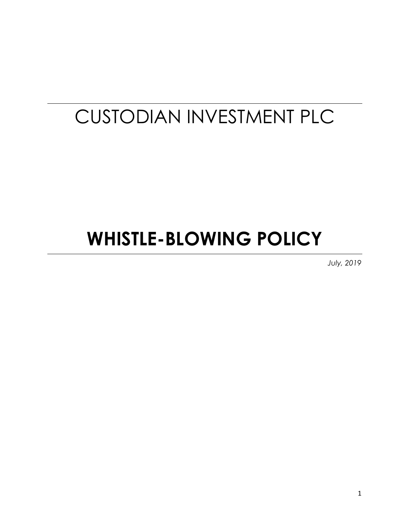# CUSTODIAN INVESTMENT PLC

# **WHISTLE-BLOWING POLICY**

*July, 2019*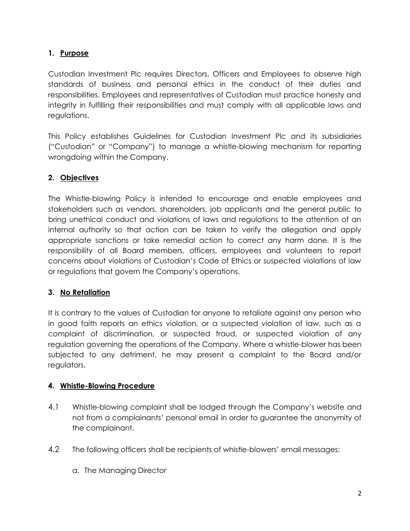## **1. Purpose**

Custodian Investment Plc requires Directors, Officers and Employees to observe high standards of business and personal ethics in the conduct of their duties and responsibilities. Employees and representatives of Custodian must practice honesty and integrity in fulfilling their responsibilities and must comply with all applicable laws and regulations.

This Policy establishes Guidelines for Custodian Investment Plc and its subsidiaries ("Custodian" or "Company") to manage a whistle-blowing mechanism for reporting wrongdoing within the Company.

## **2. Objectives**

The Whistle-blowing Policy is intended to encourage and enable employees and stakeholders such as vendors, shareholders, job applicants and the general public to bring unethical conduct and violations of laws and regulations to the attention of an internal authority so that action can be taken to verify the allegation and apply appropriate sanctions or take remedial action to correct any harm done. It is the responsibility of all Board members, officers, employees and volunteers to report concerns about violations of Custodian's Code of Ethics or suspected violations of law or regulations that govern the Company's operations.

### **3. No Retaliation**

It is contrary to the values of Custodian for anyone to retaliate against any person who in good faith reports an ethics violation, or a suspected violation of law, such as a complaint of discrimination, or suspected fraud, or suspected violation of any regulation governing the operations of the Company. Where a whistle-blower has been subjected to any detriment, he may present a complaint to the Board and/or regulators.

### **4. Whistle-Blowing Procedure**

- 4.1 Whistle-blowing complaint shall be lodged through the Company's website and not from a complainants' personal email in order to guarantee the anonymity of the complainant.
- 4.2 The following officers shall be recipients of whistle-blowers' email messages:
	- a. The Managing Director